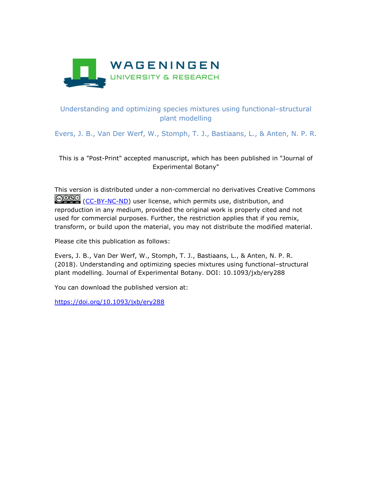

## Understanding and optimizing species mixtures using functional–structural plant modelling

Evers, J. B., Van Der Werf, W., Stomph, T. J., Bastiaans, L., & Anten, N. P. R.

This is a "Post-Print" accepted manuscript, which has been published in "Journal of Experimental Botany"

This version is distributed under a non-commercial no derivatives Creative Commons COSO [\(CC-BY-NC-ND\)](https://creativecommons.org/licenses/by-nc-nd/4.0/) user license, which permits use, distribution, and reproduction in any medium, provided the original work is properly cited and not used for commercial purposes. Further, the restriction applies that if you remix, transform, or build upon the material, you may not distribute the modified material.

Please cite this publication as follows:

Evers, J. B., Van Der Werf, W., Stomph, T. J., Bastiaans, L., & Anten, N. P. R. (2018). Understanding and optimizing species mixtures using functional–structural plant modelling. Journal of Experimental Botany. DOI: 10.1093/jxb/ery288

You can download the published version at:

<https://doi.org/10.1093/jxb/ery288>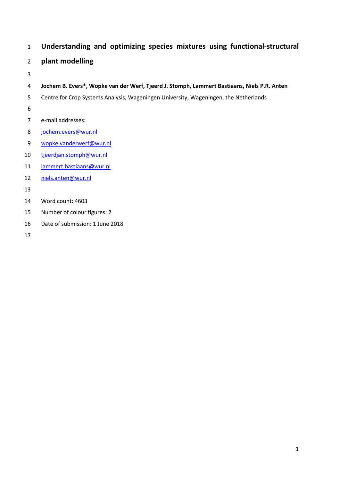# **Understanding and optimizing species mixtures using functional-structural**

# **plant modelling**

- 
- **Jochem B. Evers\*, Wopke van der Werf, Tjeerd J. Stomph, Lammert Bastiaans, Niels P.R. Anten**
- Centre for Crop Systems Analysis, Wageningen University, Wageningen, the Netherlands
- 
- e-mail addresses:
- [jochem.evers@wur.nl](mailto:jochem.evers@wur.nl)
- [wopke.vanderwerf@wur.nl](mailto:wopke.vanderwerf@wur.nl)
- [tjeerdjan.stomph@wur.nl](mailto:tjeerdjan.stomph@wur.nl)
- [lammert.bastiaans@wur.nl](mailto:lammert.bastiaans@wur.nl)
- [niels.anten@wur.nl](mailto:niels.anten@wur.nl)
- 
- Word count: 4603
- Number of colour figures: 2
- Date of submission: 1 June 2018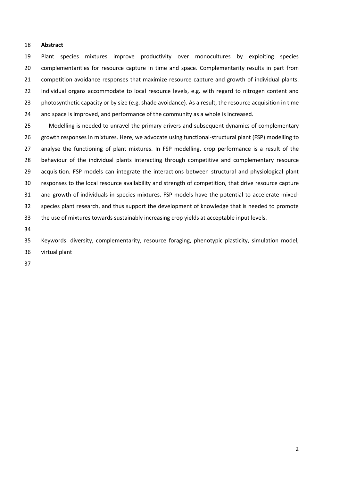### **Abstract**

 Plant species mixtures improve productivity over monocultures by exploiting species 20 complementarities for resource capture in time and space. Complementarity results in part from competition avoidance responses that maximize resource capture and growth of individual plants. 22 Individual organs accommodate to local resource levels, e.g. with regard to nitrogen content and photosynthetic capacity or by size (e.g. shade avoidance). As a result, the resource acquisition in time and space is improved, and performance of the community as a whole is increased.

 Modelling is needed to unravel the primary drivers and subsequent dynamics of complementary growth responses in mixtures. Here, we advocate using functional-structural plant (FSP) modelling to 27 analyse the functioning of plant mixtures. In FSP modelling, crop performance is a result of the behaviour of the individual plants interacting through competitive and complementary resource acquisition. FSP models can integrate the interactions between structural and physiological plant responses to the local resource availability and strength of competition, that drive resource capture and growth of individuals in species mixtures. FSP models have the potential to accelerate mixed- species plant research, and thus support the development of knowledge that is needed to promote the use of mixtures towards sustainably increasing crop yields at acceptable input levels.

 Keywords: diversity, complementarity, resource foraging, phenotypic plasticity, simulation model, virtual plant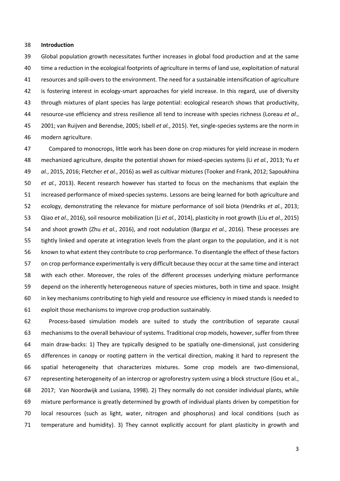### **Introduction**

 Global population growth necessitates further increases in global food production and at the same time a reduction in the ecological footprints of agriculture in terms of land use, exploitation of natural resources and spill-overs to the environment. The need for a sustainable intensification of agriculture 42 is fostering interest in ecology-smart approaches for yield increase. In this regard, use of diversity through mixtures of plant species has large potential: ecological research shows that productivity, resource-use efficiency and stress resilience all tend to increase with species richness (Loreau *et al.*, 2001; van Ruijven and Berendse, 2005; Isbell *et al.*, 2015). Yet, single-species systems are the norm in modern agriculture.

 Compared to monocrops, little work has been done on crop mixtures for yield increase in modern mechanized agriculture, despite the potential shown for mixed-species systems (Li *et al.*, 2013; Yu *et al.*, 2015, 2016; Fletcher *et al.*, 2016) as well as cultivar mixtures (Tooker and Frank, 2012; Sapoukhina *et al.*, 2013). Recent research however has started to focus on the mechanisms that explain the increased performance of mixed-species systems. Lessons are being learned for both agriculture and ecology, demonstrating the relevance for mixture performance of soil biota (Hendriks *et al.*, 2013; Qiao *et al.*, 2016), soil resource mobilization (Li *et al.*, 2014), plasticity in root growth (Liu *et al.*, 2015) and shoot growth (Zhu *et al.*, 2016), and root nodulation (Bargaz *et al.*, 2016). These processes are tightly linked and operate at integration levels from the plant organ to the population, and it is not known to what extent they contribute to crop performance. To disentangle the effect of these factors on crop performance experimentally is very difficult because they occur at the same time and interact with each other. Moreover, the roles of the different processes underlying mixture performance depend on the inherently heterogeneous nature of species mixtures, both in time and space. Insight in key mechanisms contributing to high yield and resource use efficiency in mixed stands is needed to exploit those mechanisms to improve crop production sustainably.

 Process-based simulation models are suited to study the contribution of separate causal mechanisms to the overall behaviour of systems. Traditional crop models, however, suffer from three main draw-backs: 1) They are typically designed to be spatially one-dimensional, just considering differences in canopy or rooting pattern in the vertical direction, making it hard to represent the spatial heterogeneity that characterizes mixtures. Some crop models are two-dimensional, representing heterogeneity of an intercrop or agroforestry system using a block structure (Gou et al., 2017; Van Noordwijk and Lusiana, 1998). 2) They normally do not consider individual plants, while mixture performance is greatly determined by growth of individual plants driven by competition for local resources (such as light, water, nitrogen and phosphorus) and local conditions (such as temperature and humidity). 3) They cannot explicitly account for plant plasticity in growth and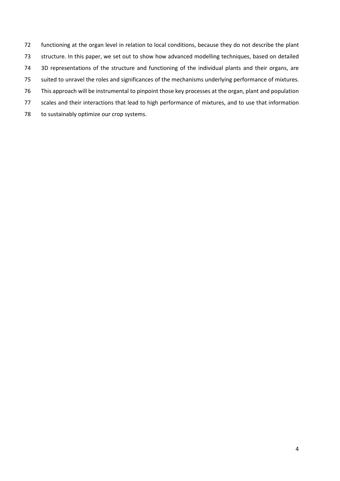- functioning at the organ level in relation to local conditions, because they do not describe the plant structure. In this paper, we set out to show how advanced modelling techniques, based on detailed 3D representations of the structure and functioning of the individual plants and their organs, are suited to unravel the roles and significances of the mechanisms underlying performance of mixtures. This approach will be instrumental to pinpoint those key processes at the organ, plant and population scales and their interactions that lead to high performance of mixtures, and to use that information
- 78 to sustainably optimize our crop systems.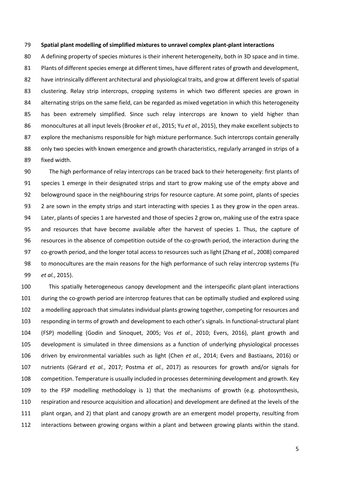#### **Spatial plant modelling of simplified mixtures to unravel complex plant-plant interactions**

 A defining property of species mixtures is their inherent heterogeneity, both in 3D space and in time. Plants of different species emerge at different times, have different rates of growth and development, have intrinsically different architectural and physiological traits, and grow at different levels of spatial clustering. Relay strip intercrops, cropping systems in which two different species are grown in 84 alternating strips on the same field, can be regarded as mixed vegetation in which this heterogeneity has been extremely simplified. Since such relay intercrops are known to yield higher than monocultures at all input levels (Brooker *et al.*, 2015; Yu *et al.*, 2015), they make excellent subjects to 87 explore the mechanisms responsible for high mixture performance. Such intercrops contain generally only two species with known emergence and growth characteristics, regularly arranged in strips of a fixed width.

 The high performance of relay intercrops can be traced back to their heterogeneity: first plants of species 1 emerge in their designated strips and start to grow making use of the empty above and belowground space in the neighbouring strips for resource capture. At some point, plants of species 2 are sown in the empty strips and start interacting with species 1 as they grow in the open areas. Later, plants of species 1 are harvested and those of species 2 grow on, making use of the extra space and resources that have become available after the harvest of species 1. Thus, the capture of resources in the absence of competition outside of the co-growth period, the interaction during the co-growth period, and the longer total access to resources such as light (Zhang *et al.*, 2008) compared to monocultures are the main reasons for the high performance of such relay intercrop systems (Yu *et al.*, 2015).

 This spatially heterogeneous canopy development and the interspecific plant-plant interactions during the co-growth period are intercrop features that can be optimally studied and explored using a modelling approach that simulates individual plants growing together, competing for resources and responding in terms of growth and development to each other's signals. In functional-structural plant (FSP) modelling (Godin and Sinoquet, 2005; Vos *et al.*, 2010; Evers, 2016), plant growth and development is simulated in three dimensions as a function of underlying physiological processes driven by environmental variables such as light (Chen *et al.*, 2014; Evers and Bastiaans, 2016) or nutrients (Gérard *et al.*, 2017; Postma *et al.*, 2017) as resources for growth and/or signals for competition. Temperature is usually included in processes determining development and growth. Key to the FSP modelling methodology is 1) that the mechanisms of growth (e.g. photosynthesis, respiration and resource acquisition and allocation) and development are defined at the levels of the plant organ, and 2) that plant and canopy growth are an emergent model property, resulting from interactions between growing organs within a plant and between growing plants within the stand.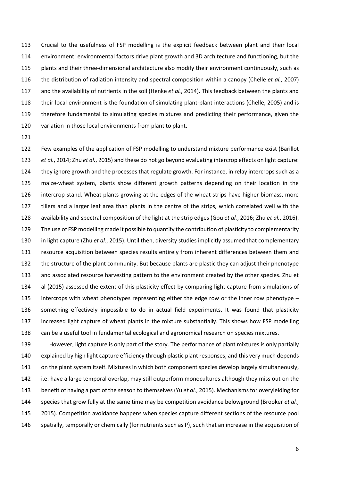Crucial to the usefulness of FSP modelling is the explicit feedback between plant and their local environment: environmental factors drive plant growth and 3D architecture and functioning, but the plants and their three-dimensional architecture also modify their environment continuously, such as the distribution of radiation intensity and spectral composition within a canopy (Chelle *et al.*, 2007) and the availability of nutrients in the soil (Henke *et al.*, 2014). This feedback between the plants and their local environment is the foundation of simulating plant-plant interactions (Chelle, 2005) and is therefore fundamental to simulating species mixtures and predicting their performance, given the 120 variation in those local environments from plant to plant.

 Few examples of the application of FSP modelling to understand mixture performance exist (Barillot *et al.*, 2014; Zhu *et al.*, 2015) and these do not go beyond evaluating intercrop effects on light capture: 124 they ignore growth and the processes that regulate growth. For instance, in relay intercrops such as a maize-wheat system, plants show different growth patterns depending on their location in the intercrop stand. Wheat plants growing at the edges of the wheat strips have higher biomass, more tillers and a larger leaf area than plants in the centre of the strips, which correlated well with the availability and spectral composition of the light at the strip edges (Gou *et al.*, 2016; Zhu *et al.*, 2016). The use of FSP modelling made it possible to quantify the contribution of plasticity to complementarity in light capture (Zhu *et al.*, 2015). Until then, diversity studies implicitly assumed that complementary resource acquisition between species results entirely from inherent differences between them and the structure of the plant community. But because plants are plastic they can adjust their phenotype and associated resource harvesting pattern to the environment created by the other species. Zhu et al (2015) assessed the extent of this plasticity effect by comparing light capture from simulations of intercrops with wheat phenotypes representing either the edge row or the inner row phenotype – something effectively impossible to do in actual field experiments. It was found that plasticity increased light capture of wheat plants in the mixture substantially. This shows how FSP modelling can be a useful tool in fundamental ecological and agronomical research on species mixtures.

 However, light capture is only part of the story. The performance of plant mixtures is only partially explained by high light capture efficiency through plastic plant responses, and this very much depends on the plant system itself. Mixtures in which both component species develop largely simultaneously, i.e. have a large temporal overlap, may still outperform monocultures although they miss out on the benefit of having a part of the season to themselves (Yu *et al.*, 2015). Mechanisms for overyielding for species that grow fully at the same time may be competition avoidance belowground (Brooker *et al.*, 2015). Competition avoidance happens when species capture different sections of the resource pool spatially, temporally or chemically (for nutrients such as P), such that an increase in the acquisition of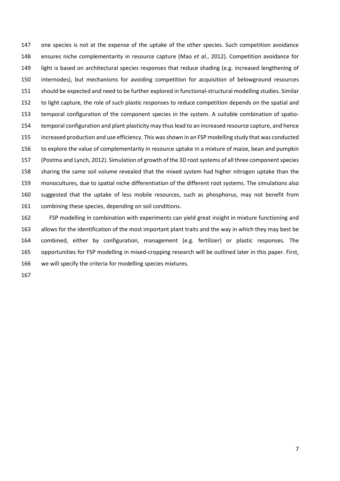one species is not at the expense of the uptake of the other species. Such competition avoidance ensures niche complementarity in resource capture (Mao *et al.*, 2012). Competition avoidance for light is based on architectural species responses that reduce shading (e.g. increased lengthening of internodes), but mechanisms for avoiding competition for acquisition of belowground resources should be expected and need to be further explored in functional-structural modelling studies. Similar 152 to light capture, the role of such plastic responses to reduce competition depends on the spatial and temporal configuration of the component species in the system. A suitable combination of spatio- temporal configuration and plant plasticity may thuslead to an increased resource capture, and hence increased production and use efficiency. This was shown in an FSP modelling study that was conducted to explore the value of complementarity in resource uptake in a mixture of maize, bean and pumpkin (Postma and Lynch, 2012). Simulation of growth of the 3D root systems of all three component species sharing the same soil volume revealed that the mixed system had higher nitrogen uptake than the monocultures, due to spatial niche differentiation of the different root systems. The simulations also suggested that the uptake of less mobile resources, such as phosphorus, may not benefit from combining these species, depending on soil conditions.

 FSP modelling in combination with experiments can yield great insight in mixture functioning and allows for the identification of the most important plant traits and the way in which they may best be combined, either by configuration, management (e.g. fertilizer) or plastic responses. The opportunities for FSP modelling in mixed-cropping research will be outlined later in this paper. First, we will specify the criteria for modelling species mixtures.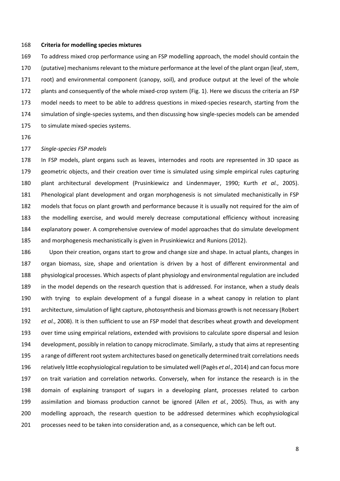#### **Criteria for modelling species mixtures**

 To address mixed crop performance using an FSP modelling approach, the model should contain the (putative) mechanisms relevant to the mixture performance at the level of the plant organ (leaf, stem, root) and environmental component (canopy, soil), and produce output at the level of the whole plants and consequently of the whole mixed-crop system (Fig. 1). Here we discuss the criteria an FSP model needs to meet to be able to address questions in mixed-species research, starting from the simulation of single-species systems, and then discussing how single-species models can be amended to simulate mixed-species systems.

## *Single-species FSP models*

 In FSP models, plant organs such as leaves, internodes and roots are represented in 3D space as geometric objects, and their creation over time is simulated using simple empirical rules capturing plant architectural development (Prusinkiewicz and Lindenmayer, 1990; Kurth *et al.*, 2005). Phenological plant development and organ morphogenesis is not simulated mechanistically in FSP models that focus on plant growth and performance because it is usually not required for the aim of the modelling exercise, and would merely decrease computational efficiency without increasing explanatory power. A comprehensive overview of model approaches that do simulate development and morphogenesis mechanistically is given in Prusinkiewicz and Runions (2012).

 Upon their creation, organs start to grow and change size and shape. In actual plants, changes in organ biomass, size, shape and orientation is driven by a host of different environmental and physiological processes. Which aspects of plant physiology and environmental regulation are included in the model depends on the research question that is addressed. For instance, when a study deals with trying to explain development of a fungal disease in a wheat canopy in relation to plant architecture, simulation of light capture, photosynthesis and biomass growth is not necessary (Robert *et al.*, 2008). It is then sufficient to use an FSP model that describes wheat growth and development over time using empirical relations, extended with provisions to calculate spore dispersal and lesion development, possibly in relation to canopy microclimate. Similarly, a study that aims at representing a range of different root system architectures based on genetically determined trait correlations needs relatively little ecophysiological regulation to be simulated well (Pagès *et al.*, 2014) and can focus more on trait variation and correlation networks. Conversely, when for instance the research is in the domain of explaining transport of sugars in a developing plant, processes related to carbon assimilation and biomass production cannot be ignored (Allen *et al.*, 2005). Thus, as with any modelling approach, the research question to be addressed determines which ecophysiological processes need to be taken into consideration and, as a consequence, which can be left out.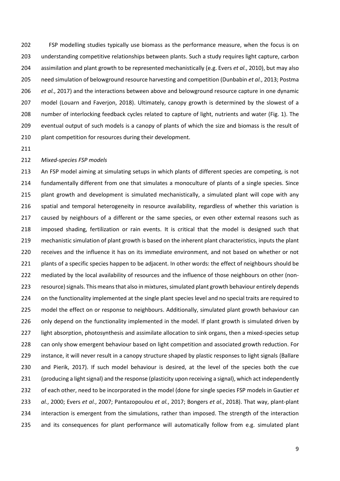FSP modelling studies typically use biomass as the performance measure, when the focus is on understanding competitive relationships between plants. Such a study requires light capture, carbon assimilation and plant growth to be represented mechanistically (e.g. Evers *et al.*, 2010), but may also need simulation of belowground resource harvesting and competition (Dunbabin *et al.*, 2013; Postma *et al.*, 2017) and the interactions between above and belowground resource capture in one dynamic model (Louarn and Faverjon, 2018). Ultimately, canopy growth is determined by the slowest of a number of interlocking feedback cycles related to capture of light, nutrients and water (Fig. 1). The eventual output of such models is a canopy of plants of which the size and biomass is the result of 210 plant competition for resources during their development.

## *Mixed-species FSP models*

213 An FSP model aiming at simulating setups in which plants of different species are competing, is not fundamentally different from one that simulates a monoculture of plants of a single species. Since 215 plant growth and development is simulated mechanistically, a simulated plant will cope with any spatial and temporal heterogeneity in resource availability, regardless of whether this variation is caused by neighbours of a different or the same species, or even other external reasons such as imposed shading, fertilization or rain events. It is critical that the model is designed such that mechanistic simulation of plant growth is based on the inherent plant characteristics, inputs the plant receives and the influence it has on its immediate environment, and not based on whether or not 221 plants of a specific species happen to be adjacent. In other words: the effect of neighbours should be mediated by the local availability of resources and the influence of those neighbours on other (non-223 resource) signals. This means that also in mixtures, simulated plant growth behaviour entirely depends 224 on the functionality implemented at the single plant species level and no special traits are required to model the effect on or response to neighbours. Additionally, simulated plant growth behaviour can 226 only depend on the functionality implemented in the model. If plant growth is simulated driven by light absorption, photosynthesis and assimilate allocation to sink organs, then a mixed-species setup can only show emergent behaviour based on light competition and associated growth reduction. For instance, it will never result in a canopy structure shaped by plastic responses to light signals (Ballare and Pierik, 2017). If such model behaviour is desired, at the level of the species both the cue (producing a light signal) and the response (plasticity upon receiving a signal), which act independently of each other, need to be incorporated in the model (done for single species FSP models in Gautier *et al.*, 2000; Evers *et al.*, 2007; Pantazopoulou *et al.*, 2017; Bongers *et al.*, 2018). That way, plant-plant interaction is emergent from the simulations, rather than imposed. The strength of the interaction and its consequences for plant performance will automatically follow from e.g. simulated plant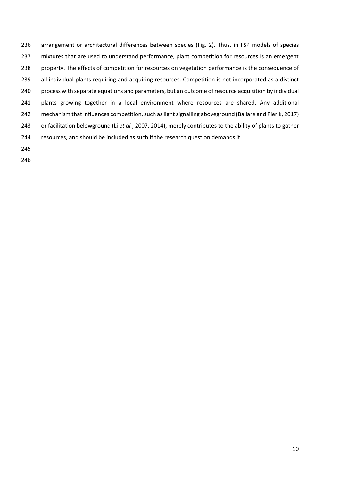arrangement or architectural differences between species (Fig. 2). Thus, in FSP models of species mixtures that are used to understand performance, plant competition for resources is an emergent property. The effects of competition for resources on vegetation performance is the consequence of 239 all individual plants requiring and acquiring resources. Competition is not incorporated as a distinct process with separate equations and parameters, but an outcome of resource acquisition by individual plants growing together in a local environment where resources are shared. Any additional 242 mechanism that influences competition, such as light signalling aboveground (Ballare and Pierik, 2017) or facilitation belowground (Li *et al.*, 2007, 2014), merely contributes to the ability of plants to gather resources, and should be included as such if the research question demands it.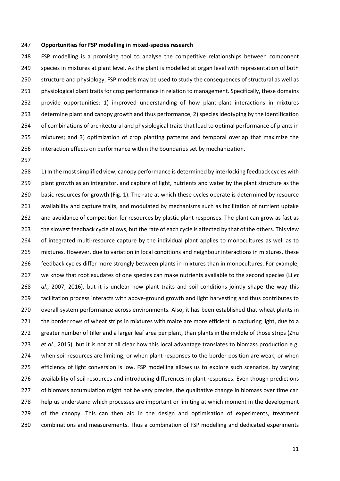#### **Opportunities for FSP modelling in mixed-species research**

 FSP modelling is a promising tool to analyse the competitive relationships between component species in mixtures at plant level. As the plant is modelled at organ level with representation of both structure and physiology, FSP models may be used to study the consequences of structural as well as 251 physiological plant traits for crop performance in relation to management. Specifically, these domains provide opportunities: 1) improved understanding of how plant-plant interactions in mixtures determine plant and canopy growth and thus performance; 2) species ideotyping by the identification of combinations of architectural and physiological traits that lead to optimal performance of plants in mixtures; and 3) optimization of crop planting patterns and temporal overlap that maximize the interaction effects on performance within the boundaries set by mechanization.

258 1) In the most simplified view, canopy performance is determined by interlocking feedback cycles with 259 plant growth as an integrator, and capture of light, nutrients and water by the plant structure as the 260 basic resources for growth (Fig. 1). The rate at which these cycles operate is determined by resource availability and capture traits, and modulated by mechanisms such as facilitation of nutrient uptake and avoidance of competition for resources by plastic plant responses. The plant can grow as fast as the slowest feedback cycle allows, but the rate of each cycle is affected by that of the others. This view of integrated multi-resource capture by the individual plant applies to monocultures as well as to mixtures. However, due to variation in local conditions and neighbour interactions in mixtures, these feedback cycles differ more strongly between plants in mixtures than in monocultures. For example, we know that root exudates of one species can make nutrients available to the second species (Li *et al.*, 2007, 2016), but it is unclear how plant traits and soil conditions jointly shape the way this facilitation process interacts with above-ground growth and light harvesting and thus contributes to overall system performance across environments. Also, it has been established that wheat plants in 271 the border rows of wheat strips in mixtures with maize are more efficient in capturing light, due to a greater number of tiller and a larger leaf area per plant, than plants in the middle of those strips (Zhu *et al.*, 2015), but it is not at all clear how this local advantage translates to biomass production e.g. when soil resources are limiting, or when plant responses to the border position are weak, or when efficiency of light conversion is low. FSP modelling allows us to explore such scenarios, by varying availability of soil resources and introducing differences in plant responses. Even though predictions 277 of biomass accumulation might not be very precise, the qualitative change in biomass over time can help us understand which processes are important or limiting at which moment in the development 279 of the canopy. This can then aid in the design and optimisation of experiments, treatment combinations and measurements. Thus a combination of FSP modelling and dedicated experiments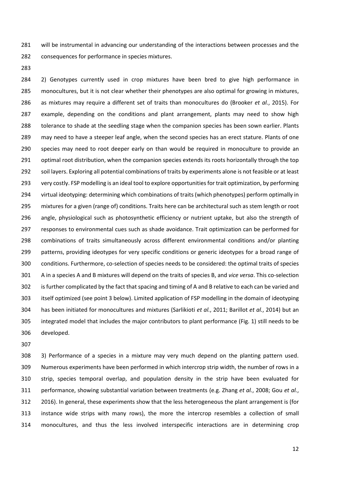will be instrumental in advancing our understanding of the interactions between processes and the consequences for performance in species mixtures.

 2) Genotypes currently used in crop mixtures have been bred to give high performance in monocultures, but it is not clear whether their phenotypes are also optimal for growing in mixtures, as mixtures may require a different set of traits than monocultures do (Brooker *et al.*, 2015). For example, depending on the conditions and plant arrangement, plants may need to show high tolerance to shade at the seedling stage when the companion species has been sown earlier. Plants may need to have a steeper leaf angle, when the second species has an erect stature. Plants of one species may need to root deeper early on than would be required in monoculture to provide an 291 optimal root distribution, when the companion species extends its roots horizontally through the top soil layers. Exploring all potential combinations of traits by experiments alone is not feasible or at least very costly. FSP modelling is an ideal tool to explore opportunities for trait optimization, by performing virtual ideotyping: determining which combinations of traits (which phenotypes) perform optimally in mixtures for a given (range of) conditions. Traits here can be architectural such as stem length or root angle, physiological such as photosynthetic efficiency or nutrient uptake, but also the strength of responses to environmental cues such as shade avoidance. Trait optimization can be performed for combinations of traits simultaneously across different environmental conditions and/or planting patterns, providing ideotypes for very specific conditions or generic ideotypes for a broad range of conditions. Furthermore, co-selection of species needs to be considered: the optimal traits of species A in a species A and B mixtures will depend on the traits of species B, and *vice versa*. This co-selection is further complicated by the fact that spacing and timing of A and B relative to each can be varied and itself optimized (see point 3 below). Limited application of FSP modelling in the domain of ideotyping has been initiated for monocultures and mixtures (Sarlikioti *et al.*, 2011; Barillot *et al.*, 2014) but an integrated model that includes the major contributors to plant performance (Fig. 1) still needs to be developed.

 3) Performance of a species in a mixture may very much depend on the planting pattern used. Numerous experiments have been performed in which intercrop strip width, the number of rows in a strip, species temporal overlap, and population density in the strip have been evaluated for performance, showing substantial variation between treatments (e.g. Zhang *et al.*, 2008; Gou *et al.*, 2016). In general, these experiments show that the less heterogeneous the plant arrangement is (for instance wide strips with many rows), the more the intercrop resembles a collection of small monocultures, and thus the less involved interspecific interactions are in determining crop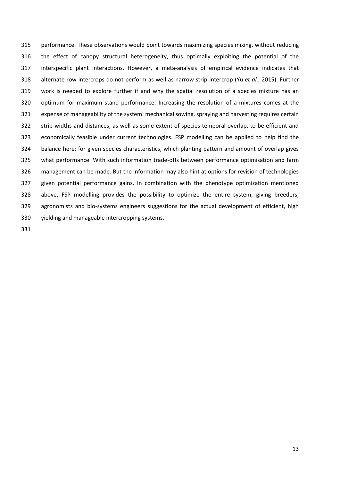performance. These observations would point towards maximizing species mixing, without reducing the effect of canopy structural heterogeneity, thus optimally exploiting the potential of the interspecific plant interactions. However, a meta-analysis of empirical evidence indicates that alternate row intercrops do not perform as well as narrow strip intercrop (Yu *et al.*, 2015). Further work is needed to explore further if and why the spatial resolution of a species mixture has an optimum for maximum stand performance. Increasing the resolution of a mixtures comes at the expense of manageability of the system: mechanical sowing, spraying and harvesting requires certain strip widths and distances, as well as some extent of species temporal overlap, to be efficient and economically feasible under current technologies. FSP modelling can be applied to help find the balance here: for given species characteristics, which planting pattern and amount of overlap gives what performance. With such information trade-offs between performance optimisation and farm management can be made. But the information may also hint at options for revision of technologies given potential performance gains. In combination with the phenotype optimization mentioned above, FSP modelling provides the possibility to optimize the entire system, giving breeders, agronomists and bio-systems engineers suggestions for the actual development of efficient, high yielding and manageable intercropping systems.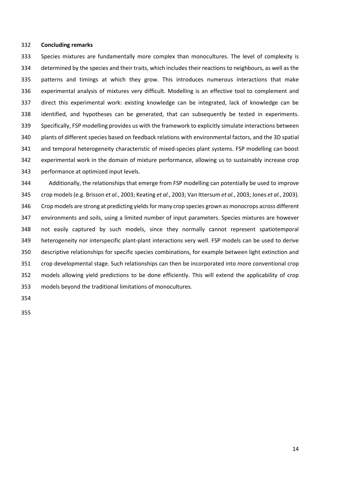### **Concluding remarks**

 Species mixtures are fundamentally more complex than monocultures. The level of complexity is determined by the species and their traits, which includes their reactions to neighbours, as well as the patterns and timings at which they grow. This introduces numerous interactions that make experimental analysis of mixtures very difficult. Modelling is an effective tool to complement and direct this experimental work: existing knowledge can be integrated, lack of knowledge can be identified, and hypotheses can be generated, that can subsequently be tested in experiments. Specifically, FSP modelling provides us with the framework to explicitly simulate interactions between plants of different species based on feedback relations with environmental factors, and the 3D spatial and temporal heterogeneity characteristic of mixed-species plant systems. FSP modelling can boost experimental work in the domain of mixture performance, allowing us to sustainably increase crop performance at optimized input levels.

 Additionally, the relationships that emerge from FSP modelling can potentially be used to improve crop models (e.g. Brisson *et al.*, 2003; Keating *et al.*, 2003; Van Ittersum *et al.*, 2003; Jones *et al.*, 2003). Crop models are strong at predicting yields for many crop species grown as monocrops across different environments and soils, using a limited number of input parameters. Species mixtures are however not easily captured by such models, since they normally cannot represent spatiotemporal heterogeneity nor interspecific plant-plant interactions very well. FSP models can be used to derive descriptive relationships for specific species combinations, for example between light extinction and crop developmental stage. Such relationships can then be incorporated into more conventional crop models allowing yield predictions to be done efficiently. This will extend the applicability of crop models beyond the traditional limitations of monocultures.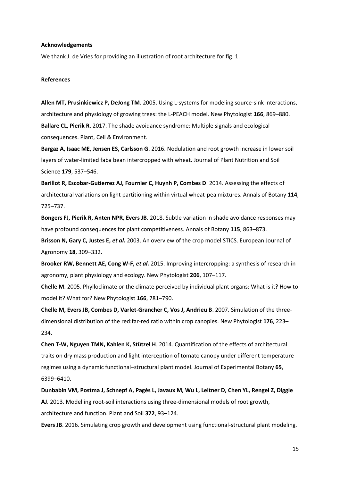## **Acknowledgements**

We thank J. de Vries for providing an illustration of root architecture for fig. 1.

## **References**

**Allen MT, Prusinkiewicz P, DeJong TM**. 2005. Using L-systems for modeling source-sink interactions, architecture and physiology of growing trees: the L-PEACH model. New Phytologist **166**, 869–880. **Ballare CL, Pierik R**. 2017. The shade avoidance syndrome: Multiple signals and ecological consequences. Plant, Cell & Environment.

**Bargaz A, Isaac ME, Jensen ES, Carlsson G**. 2016. Nodulation and root growth increase in lower soil layers of water-limited faba bean intercropped with wheat. Journal of Plant Nutrition and Soil Science **179**, 537–546.

**Barillot R, Escobar-Gutierrez AJ, Fournier C, Huynh P, Combes D**. 2014. Assessing the effects of architectural variations on light partitioning within virtual wheat-pea mixtures. Annals of Botany **114**, 725–737.

**Bongers FJ, Pierik R, Anten NPR, Evers JB**. 2018. Subtle variation in shade avoidance responses may have profound consequences for plant competitiveness. Annals of Botany **115**, 863–873.

**Brisson N, Gary C, Justes E,** *et al.* 2003. An overview of the crop model STICS. European Journal of Agronomy **18**, 309–332.

**Brooker RW, Bennett AE, Cong W-F,** *et al.* 2015. Improving intercropping: a synthesis of research in agronomy, plant physiology and ecology. New Phytologist **206**, 107–117.

**Chelle M**. 2005. Phylloclimate or the climate perceived by individual plant organs: What is it? How to model it? What for? New Phytologist **166**, 781–790.

**Chelle M, Evers JB, Combes D, Varlet-Grancher C, Vos J, Andrieu B**. 2007. Simulation of the threedimensional distribution of the red:far-red ratio within crop canopies. New Phytologist **176**, 223– 234.

**Chen T-W, Nguyen TMN, Kahlen K, Stützel H**. 2014. Quantification of the effects of architectural traits on dry mass production and light interception of tomato canopy under different temperature regimes using a dynamic functional–structural plant model. Journal of Experimental Botany **65**, 6399–6410.

**Dunbabin VM, Postma J, Schnepf A, Pagès L, Javaux M, Wu L, Leitner D, Chen YL, Rengel Z, Diggle AJ**. 2013. Modelling root-soil interactions using three-dimensional models of root growth, architecture and function. Plant and Soil **372**, 93–124.

**Evers JB**. 2016. Simulating crop growth and development using functional-structural plant modeling.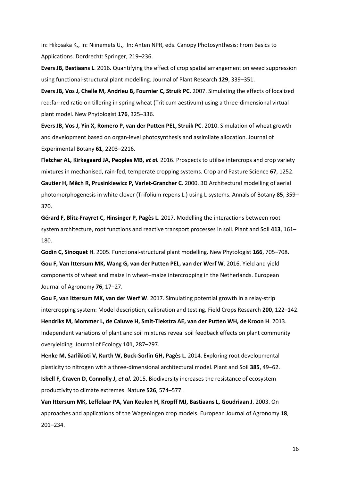In: Hikosaka K,, In: Niinemets U,, In: Anten NPR, eds. Canopy Photosynthesis: From Basics to Applications. Dordrecht: Springer, 219–236.

**Evers JB, Bastiaans L**. 2016. Quantifying the effect of crop spatial arrangement on weed suppression using functional-structural plant modelling. Journal of Plant Research **129**, 339–351.

**Evers JB, Vos J, Chelle M, Andrieu B, Fournier C, Struik PC**. 2007. Simulating the effects of localized red:far-red ratio on tillering in spring wheat (Triticum aestivum) using a three-dimensional virtual plant model. New Phytologist **176**, 325–336.

**Evers JB, Vos J, Yin X, Romero P, van der Putten PEL, Struik PC**. 2010. Simulation of wheat growth and development based on organ-level photosynthesis and assimilate allocation. Journal of Experimental Botany **61**, 2203–2216.

**Fletcher AL, Kirkegaard JA, Peoples MB,** *et al.* 2016. Prospects to utilise intercrops and crop variety mixtures in mechanised, rain-fed, temperate cropping systems. Crop and Pasture Science **67**, 1252. **Gautier H, Mĕch R, Prusinkiewicz P, Varlet-Grancher C**. 2000. 3D Architectural modelling of aerial photomorphogenesis in white clover (Trifolium repens L.) using L-systems. Annals of Botany **85**, 359– 370.

**Gérard F, Blitz-Frayret C, Hinsinger P, Pagès L**. 2017. Modelling the interactions between root system architecture, root functions and reactive transport processes in soil. Plant and Soil **413**, 161– 180.

**Godin C, Sinoquet H**. 2005. Functional-structural plant modelling. New Phytologist **166**, 705–708. **Gou F, Van Ittersum MK, Wang G, van der Putten PEL, van der Werf W**. 2016. Yield and yield components of wheat and maize in wheat–maize intercropping in the Netherlands. European Journal of Agronomy **76**, 17–27.

**Gou F, van Ittersum MK, van der Werf W**. 2017. Simulating potential growth in a relay-strip intercropping system: Model description, calibration and testing. Field Crops Research **200**, 122–142. **Hendriks M, Mommer L, de Caluwe H, Smit-Tiekstra AE, van der Putten WH, de Kroon H**. 2013. Independent variations of plant and soil mixtures reveal soil feedback effects on plant community overyielding. Journal of Ecology **101**, 287–297.

**Henke M, Sarlikioti V, Kurth W, Buck-Sorlin GH, Pagès L**. 2014. Exploring root developmental plasticity to nitrogen with a three-dimensional architectural model. Plant and Soil **385**, 49–62. **Isbell F, Craven D, Connolly J,** *et al.* 2015. Biodiversity increases the resistance of ecosystem productivity to climate extremes. Nature **526**, 574–577.

**Van Ittersum MK, Leffelaar PA, Van Keulen H, Kropff MJ, Bastiaans L, Goudriaan J**. 2003. On approaches and applications of the Wageningen crop models. European Journal of Agronomy **18**, 201–234.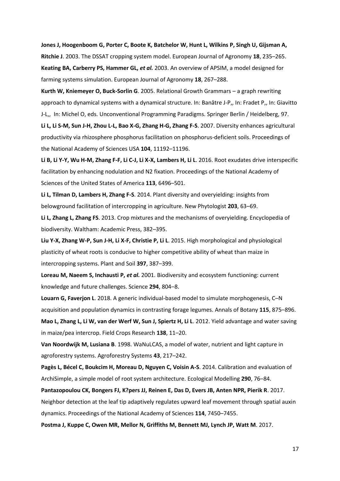**Jones J, Hoogenboom G, Porter C, Boote K, Batchelor W, Hunt L, Wilkins P, Singh U, Gijsman A, Ritchie J**. 2003. The DSSAT cropping system model. European Journal of Agronomy **18**, 235–265. **Keating BA, Carberry PS, Hammer GL,** *et al.* 2003. An overview of APSIM, a model designed for farming systems simulation. European Journal of Agronomy **18**, 267–288.

**Kurth W, Kniemeyer O, Buck-Sorlin G**. 2005. Relational Growth Grammars – a graph rewriting approach to dynamical systems with a dynamical structure. In: Banâtre J-P,, In: Fradet P,, In: Giavitto J-L,, In: Michel O, eds. Unconventional Programming Paradigms. Springer Berlin / Heidelberg, 97.

**Li L, Li S-M, Sun J-H, Zhou L-L, Bao X-G, Zhang H-G, Zhang F-S**. 2007. Diversity enhances agricultural productivity via rhizosphere phosphorus facilitation on phosphorus-deficient soils. Proceedings of the National Academy of Sciences USA **104**, 11192–11196.

**Li B, Li Y-Y, Wu H-M, Zhang F-F, Li C-J, Li X-X, Lambers H, Li L**. 2016. Root exudates drive interspecific facilitation by enhancing nodulation and N2 fixation. Proceedings of the National Academy of Sciences of the United States of America **113**, 6496–501.

**Li L, Tilman D, Lambers H, Zhang F-S**. 2014. Plant diversity and overyielding: insights from belowground facilitation of intercropping in agriculture. New Phytologist **203**, 63–69.

**Li L, Zhang L, Zhang FS**. 2013. Crop mixtures and the mechanisms of overyielding. Encyclopedia of biodiversity. Waltham: Academic Press, 382–395.

**Liu Y-X, Zhang W-P, Sun J-H, Li X-F, Christie P, Li L**. 2015. High morphological and physiological plasticity of wheat roots is conducive to higher competitive ability of wheat than maize in intercropping systems. Plant and Soil **397**, 387–399.

**Loreau M, Naeem S, Inchausti P,** *et al.* 2001. Biodiversity and ecosystem functioning: current knowledge and future challenges. Science **294**, 804–8.

**Louarn G, Faverjon L**. 2018. A generic individual-based model to simulate morphogenesis, C–N acquisition and population dynamics in contrasting forage legumes. Annals of Botany **115**, 875–896. **Mao L, Zhang L, Li W, van der Werf W, Sun J, Spiertz H, Li L**. 2012. Yield advantage and water saving in maize/pea intercrop. Field Crops Research **138**, 11–20.

**Van Noordwijk M, Lusiana B**. 1998. WaNuLCAS, a model of water, nutrient and light capture in agroforestry systems. Agroforestry Systems **43**, 217–242.

**Pagès L, Bécel C, Boukcim H, Moreau D, Nguyen C, Voisin A-S**. 2014. Calibration and evaluation of ArchiSimple, a simple model of root system architecture. Ecological Modelling **290**, 76–84.

**Pantazopoulou CK, Bongers FJ, K?pers JJ, Reinen E, Das D, Evers JB, Anten NPR, Pierik R**. 2017. Neighbor detection at the leaf tip adaptively regulates upward leaf movement through spatial auxin dynamics. Proceedings of the National Academy of Sciences **114**, 7450–7455.

**Postma J, Kuppe C, Owen MR, Mellor N, Griffiths M, Bennett MJ, Lynch JP, Watt M**. 2017.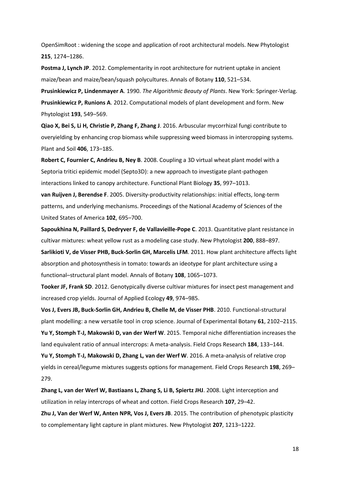OpenSimRoot : widening the scope and application of root architectural models. New Phytologist **215**, 1274–1286.

**Postma J, Lynch JP**. 2012. Complementarity in root architecture for nutrient uptake in ancient maize/bean and maize/bean/squash polycultures. Annals of Botany **110**, 521–534.

**Prusinkiewicz P, Lindenmayer A**. 1990. *The Algorithmic Beauty of Plants*. New York: Springer-Verlag. **Prusinkiewicz P, Runions A**. 2012. Computational models of plant development and form. New Phytologist **193**, 549–569.

**Qiao X, Bei S, Li H, Christie P, Zhang F, Zhang J**. 2016. Arbuscular mycorrhizal fungi contribute to overyielding by enhancing crop biomass while suppressing weed biomass in intercropping systems. Plant and Soil **406**, 173–185.

**Robert C, Fournier C, Andrieu B, Ney B**. 2008. Coupling a 3D virtual wheat plant model with a Septoria tritici epidemic model (Septo3D): a new approach to investigate plant-pathogen interactions linked to canopy architecture. Functional Plant Biology **35**, 997–1013.

**van Ruijven J, Berendse F**. 2005. Diversity-productivity relationships: initial effects, long-term patterns, and underlying mechanisms. Proceedings of the National Academy of Sciences of the United States of America **102**, 695–700.

**Sapoukhina N, Paillard S, Dedryver F, de Vallavieille-Pope C**. 2013. Quantitative plant resistance in cultivar mixtures: wheat yellow rust as a modeling case study. New Phytologist **200**, 888–897. **Sarlikioti V, de Visser PHB, Buck-Sorlin GH, Marcelis LFM**. 2011. How plant architecture affects light absorption and photosynthesis in tomato: towards an ideotype for plant architecture using a

functional–structural plant model. Annals of Botany **108**, 1065–1073.

**Tooker JF, Frank SD**. 2012. Genotypically diverse cultivar mixtures for insect pest management and increased crop yields. Journal of Applied Ecology **49**, 974–985.

**Vos J, Evers JB, Buck-Sorlin GH, Andrieu B, Chelle M, de Visser PHB**. 2010. Functional-structural plant modelling: a new versatile tool in crop science. Journal of Experimental Botany **61**, 2102–2115. **Yu Y, Stomph T-J, Makowski D, van der Werf W**. 2015. Temporal niche differentiation increases the

land equivalent ratio of annual intercrops: A meta-analysis. Field Crops Research **184**, 133–144. **Yu Y, Stomph T-J, Makowski D, Zhang L, van der Werf W**. 2016. A meta-analysis of relative crop

yields in cereal/legume mixtures suggests options for management. Field Crops Research **198**, 269– 279.

**Zhang L, van der Werf W, Bastiaans L, Zhang S, Li B, Spiertz JHJ**. 2008. Light interception and utilization in relay intercrops of wheat and cotton. Field Crops Research **107**, 29–42.

**Zhu J, Van der Werf W, Anten NPR, Vos J, Evers JB**. 2015. The contribution of phenotypic plasticity to complementary light capture in plant mixtures. New Phytologist **207**, 1213–1222.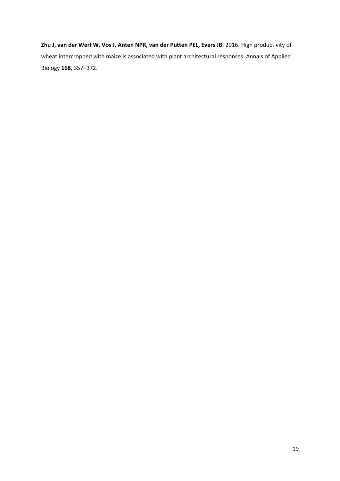**Zhu J, van der Werf W, Vos J, Anten NPR, van der Putten PEL, Evers JB**. 2016. High productivity of wheat intercropped with maize is associated with plant architectural responses. Annals of Applied Biology **168**, 357–372.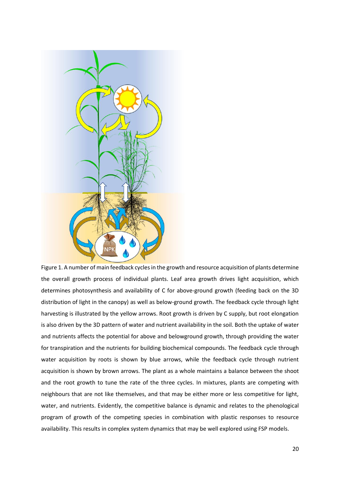

Figure 1. A number of main feedback cycles in the growth and resource acquisition of plants determine the overall growth process of individual plants. Leaf area growth drives light acquisition, which determines photosynthesis and availability of C for above-ground growth (feeding back on the 3D distribution of light in the canopy) as well as below-ground growth. The feedback cycle through light harvesting is illustrated by the yellow arrows. Root growth is driven by C supply, but root elongation is also driven by the 3D pattern of water and nutrient availability in the soil. Both the uptake of water and nutrients affects the potential for above and belowground growth, through providing the water for transpiration and the nutrients for building biochemical compounds. The feedback cycle through water acquisition by roots is shown by blue arrows, while the feedback cycle through nutrient acquisition is shown by brown arrows. The plant as a whole maintains a balance between the shoot and the root growth to tune the rate of the three cycles. In mixtures, plants are competing with neighbours that are not like themselves, and that may be either more or less competitive for light, water, and nutrients. Evidently, the competitive balance is dynamic and relates to the phenological program of growth of the competing species in combination with plastic responses to resource availability. This results in complex system dynamics that may be well explored using FSP models.